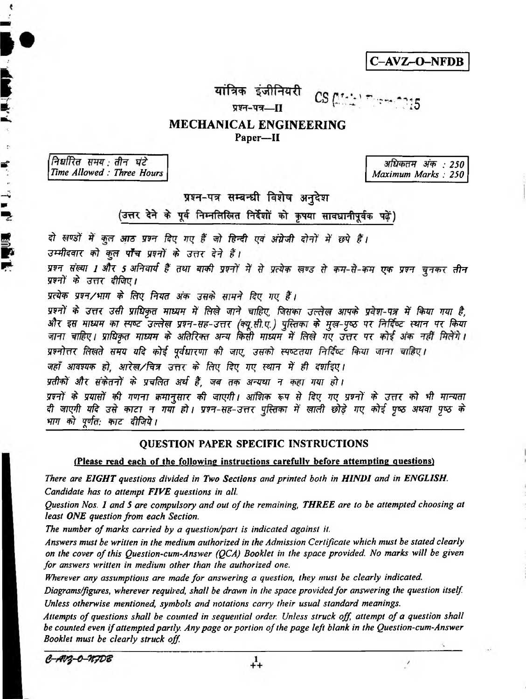**C-AVZ-O-NFDB**

5

यांत्रिक इंजीनियरी  $CS(22.2)$ 

प्रश्न-पत्र----

# **MECHANICAL ENGINEERING** Paper—II

निर्धारित समय: तीन घंटे *Time Allowed : Three Hours Maximum Marks : 250* 

**APPEA** 

Ķ

را پال<br>پا

**BASE** 

*3FF : 250*

 $\prime$ 

प्रश्न-पत्र सम्बन्धी विशेष अनुदेश

(उत्तर देने के पूर्व निम्नलिखित निर्देशों को कृपया सावधानीपूर्वक पढें)

दो सण्डों में कुल आठ प्रश्न दिए गए हैं जो हिन्दी एवं अंग्रेजी दोनों में छपे हैं।

*उम्मीदवार को कल पाँच प्रश्नों के उत्तर देने हैं।* 

*w f w m 1 3 th 5 stftrw f \$ m r «n¥t t?f w h rffa* प्रश्नों के उत्तर दीजिए।

*X***त्येक प्रश्न/भाग के लिए नियत अंक उसके** सामने दिए गए हैं।

प्रश्नों के उत्तर उसी प्राधिकत माध्यम में लिखे जाने चाहिए, जिसका उल्लेख आपके प्रवेश-पत्र में किया गया है, और इस माध्यम का स्पष्ट उल्लेख प्रश्न-सह-उत्तर (क्यू.सी.ए.) पुस्तिका के मुख-पृष्ठ पर निर्दिष्ट स्थान पर किया जाना चाहिए। प्राधिकृत माध्यम के अतिरिक्त अन्य किसी माध्यम में लिखे गए उत्तर पर कोई अंक नहीं मिलेंगे।

*प्रश्नोत्तर लिखते समय यदि कोई पर्वधारणा की जाए. उसको स्पष्टतया निर्दिष्ट किया जाना चाहिए।* 

*जहाँ आवश्यक हो, आरेख/चित्र उत्तर के लिए दिए गए स्थान में ही दर्शाइए।* 

*yतीकों और संकेतनों के प्रचलित अर्थ हैं. जब तक अन्यथा न कहा गया हो ।* 

*प्रश्नों के प्रयासों की गणना क्रमानुसार की जाएगी। आंशिक रूप से दिए गए प्रश्नों के उत्तर को भी मान्यता if \*m?ff vfe* **wzr \*f** *mr Ft* **/** *wh-w-^ctt \$ mft tki w\* t&f mm f% t भाग को पूर्णत: काट दीजिये।* 

# QUESTION PAPER SPECIFIC INSTRUCTIONS

(Please read each of the following instructions carefully before attempting questions)

There are EIGHT questions divided in Two Sections and printed both in HINDI and in ENGLISH. *Candidate has to attempt FIVE questions in all*

*Question Nos. 1 and 5 are compulsory and out of the remaining, THREE are to be attempted choosing at least ONE question from each Section.*

*The number of marks carried by a question/part is indicated against it.*

*Answers must be written in the medium authorized in the Admission Certificate which must be stated clearly on the cover of this Question-cum-Answer (QCA) Booklet in the space provided. No marks will be given for answers written in medium other than the authorized one.*

*Wherever any assumptions are made for answering a question, they must be clearly indicated.* 

*Diagrams/figures, wherever required, shall be drawn in the space provided for answering the question itself Unless otherwise mentioned, symbols and notations carry their usual standard meanings.*

Attempts of questions shall be counted in sequential order. Unless struck off, attempt of a question shall *be counted even if attempted partly: Any page or portion of the page left blank in the Question-cum-Answer Booklet must be clearly struck off*

 $C - A V_3 - O - N_f DB$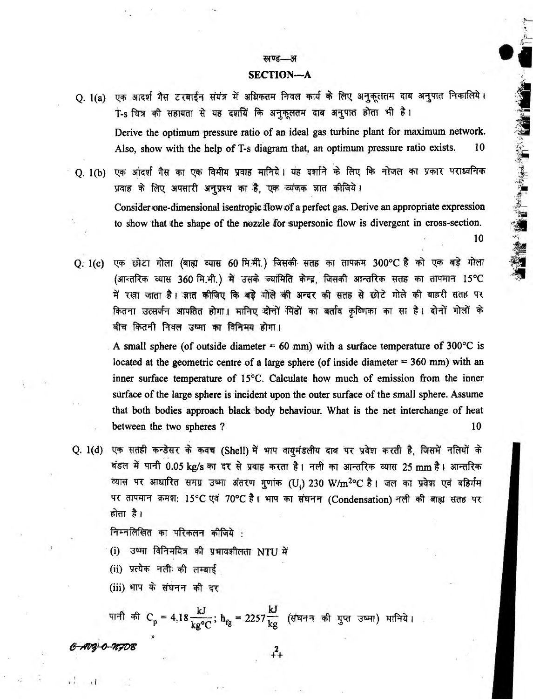## खण्ड—अ

## SECTION—A

- Q. 1(a) एक आदर्श गैस टरबाईन संयंत्र में अधिकतम निवल कार्य के लिए अनुकूलतम दाब अनुपात निकालिये। T-s चित्र की सहायता से यह दर्शायें कि अनुकूलतम दाब अनुपात होता भी है। Derive the optimum pressure ratio of an ideal gas turbine plant for maximum network. Also, show with the help of T-s diagram that, an optimum pressure ratio exists. 10
- Q. 1(b) एक आंदर्श गैस का एक विमीय प्रवाह मानिये। यह दर्शाने के लिए कि नोजल का प्रकार पराध्वनिक प्रवाह के लिए अपसारी अनुप्रस्थ का है, एक व्यंजक ज्ञात कीजिये। Consider one-dimensional isentropic flow of a perfect gas. Derive an appropriate expression to show that the shape of the nozzle for supersonic flow is divergent in cross-section. 10

● 東京のためます ( 海へ 望遠

 $Q: 1(c)$  एक छोटा गोला (बाह्य व्यास 60 मि.मी.) जिसकी सतह का तापक्रम 300°C है को एक बड़े गोला (आन्तरिक व्यास 360 मि.मी.) में उसके ज्यांमिति केन्द्र, जिसकी आन्तरिक सतह का तापमान 15°C में रखा जाता है। जात कीजिए कि बड़े गोले की अन्दर की सतह से छोटे गोले की बाहरी सतह पर कितना उत्सर्जन आपतित होगा। मानिए दोनों पिंडों का बर्ताव कृष्णिका का सा है। दोनों गोलों के बीच कितनी निवल उष्मा का विनिमय होगा।

A small sphere (of outside diameter  $= 60$  mm) with a surface temperature of 300°C is located at the geometric centre of a large sphere (of inside diameter  $= 360$  mm) with an inner surface temperature of 15°C. Calculate how much of emission from the inner surface of the large sphere is incident upon the outer surface of the small sphere. Assume that both bodies approach black body behaviour. What is the net interchange of heat between the two spheres ? 10

Q. 1(d) एक सतही कन्डेसर के कवच (Shell) में भाप वायुमंडलीय दाब पर प्रवेश करती है, जिसमें नलियों के बंडल में पानी 0.05 kg/s का दर से प्रवाह करता है। नली का आन्तरिक व्यास 25 mm है। आन्तरिक *m* 3imifcr y jt ^ (Uj) 230 W/m2oC # i *^* «r&fa पर तापमान क्रमश: 15°C एवं 70°C है। भाप का संघनन (Condensation) नली की बाह्य सतह पर होता है।

निम्नलिखित का परिकलन कीजिये :

- (i) उष्मा विनिमयित्र की प्रभावशीलता NTU में
- (ii) प्रत्येक नली की लम्बाई

(iii) भाप के संघनन की दर

.0

पानी की  $C_p = 4.18 \frac{kJ}{k g^{\circ} C}$ ;  $h_{fg} = 2257 \frac{kJ}{kg}$  (संघनन की गुप्त उष्मा) मानिये।

*e-Mf-O-TtTDS* 2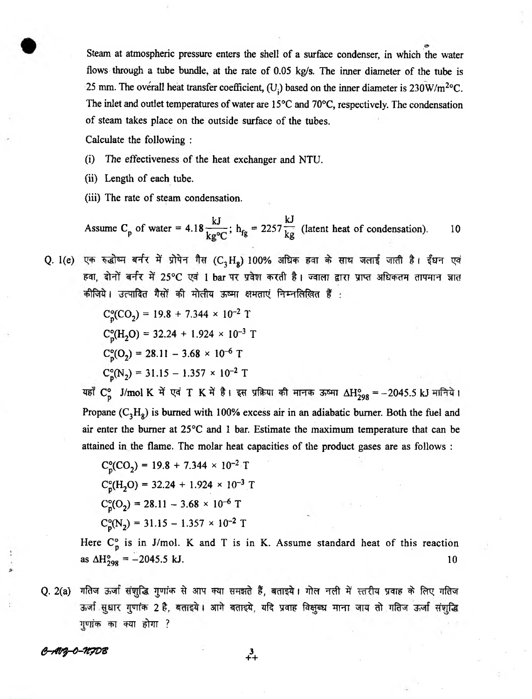Steam at atmospheric pressure enters the shell of a surface condenser, in which the water flows through a tube bundle, at the rate of 0.05 kg/s. The inner diameter of the tube is 25 mm. The overall heat transfer coefficient, (U<sub>i</sub>) based on the inner diameter is  $230W/m<sup>2</sup>°C$ . The inlet and outlet temperatures of water are 15°C and 70°C, respectively. The condensation of steam takes place on the outside surface of the tubes.

Calculate the following :

- (i) The effectiveness of the heat exchanger and NTU.
- (ii) Length of each tube.
- (iii) The rate of steam condensation.

 $kJ$ ,  $\alpha_{25}L$ Assume C<sub>p</sub> of water = 4.18  $\frac{1}{1.2}$ ; h<sub>fg</sub> = 2257  $\frac{1}{10}$  (latent heat of condensation). 10

Q. 1(e) एक रुद्धोष्म बर्नर में प्रोपेन गैस (C<sub>3</sub>H<sub>8</sub>) 100% अधिक हवा के साथ जलाई जाती है। ईधन एवं हवा, दोनों बर्नर में 25°C एवं 1 bar पर प्रवेश करती है। ज्वाला द्वारा प्राप्त अधिकतम तापमान ज्ञात कीजिये। उत्पादित गैसों की मोलीय ऊष्मा क्षमताएं निम्नलिखित हैं :

$$
C_p^{\circ}(CO_2) = 19.8 + 7.344 \times 10^{-2} \text{ T}
$$
  
\n
$$
C_p^{\circ}(H_2O) = 32.24 + 1.924 \times 10^{-3} \text{ T}
$$
  
\n
$$
C_p^{\circ}(O_2) = 28.11 - 3.68 \times 10^{-6} \text{ T}
$$
  
\n
$$
C_p^{\circ}(N_2) = 31.15 - 1.357 \times 10^{-2} \text{ T}
$$

यहाँ C° J/mol K में एवं T K में है। इस प्रक्रिया की मानक ऊष्मा ΔH°<sub>298</sub> = -2045.5 kJ मानिये। Propane  $(C_3H_8)$  is burned with 100% excess air in an adiabatic burner. Both the fuel and air enter the burner at 25<sup>o</sup>C and 1 bar. Estimate the maximum temperature that can be attained in the flame. The molar heat capacities of the product gases are as follows :

$$
C_p^o(CO_2) = 19.8 + 7.344 \times 10^{-2} \text{ T}
$$
  
\n
$$
C_p^o(H_2O) = 32.24 + 1.924 \times 10^{-3} \text{ T}
$$
  
\n
$$
C_p^o(O_2) = 28.11 - 3.68 \times 10^{-6} \text{ T}
$$
  
\n
$$
C_n^o(N_2) = 31.15 - 1.357 \times 10^{-2} \text{ T}
$$

Here  $C_p^{\circ}$  is in J/mol. K and T is in K. Assume standard heat of this reaction as  $\Delta H_{298}^{\circ} = -2045.5 \text{ kJ}.$  10

Q. 2(a) गतिज ऊर्जा संशुद्धि गुणांक से आप क्या समझते हैं, बताइये। गोल नली में स्तरीय प्रवाह के लिए गतिज ऊर्जा सुधार गुणांक 2 है, बताइये। आगे बताइये, यदि प्रवाह विक्षुब्ध माना जाय तो गतिज ऊर्जा संशुद्धि गुणांक का क्या होगा ?

*e-rtfy-O-'HTDG* 3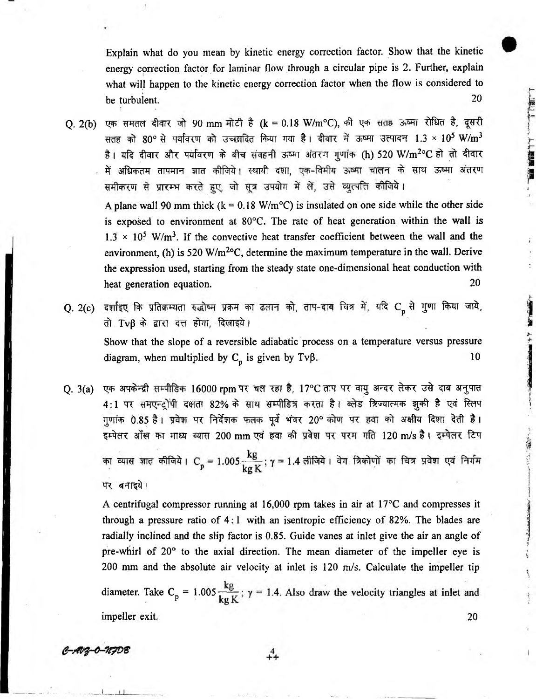Explain what do you mean by kinetic energy correction factor. Show that the kinetic energy correction factor for laminar flow through a circular pipe is 2. Further, explain what will happen to the kinetic energy correction factor when the flow is considered to be turbulent. 20

- Q. 2(b) एक समतल दीवार जो 90 mm मोटी है (k = 0.18 W/m°C), की एक सतह ऊष्मा रोधित है, दूसरी सतह को 80° से पर्यावरण को उच्छादित किया गया है। दीवार में ऊष्मा उत्पादन 1.3 × 10<sup>5</sup> W/m<sup>3</sup> है। यदि दीवार और पर्यावरण के बीच संवहनी ऊष्मा अंतरण गुणांक (h) 520 W/m<sup>2o</sup>C हो तो दीवार में अधिकतम तापमान ज्ञात कीजिये। स्थायी दशा, एक-विमीय ऊष्मा चालन के साथ ऊष्मा अंतरण समीकरण से प्रारम्भ करते हुए, जो सूत्र उपयोग में लें, उसे व्युत्पत्ति कीजिये। A plane wall 90 mm thick  $(k = 0.18 \text{ W/m}^{\circ}\text{C})$  is insulated on one side while the other side is exposed to environment at 80°C. The rate of heat generation within the wall is  $1.3 \times 10^5$  W/m<sup>3</sup>. If the convective heat transfer coefficient between the wall and the environment, (h) is 520 W/m<sup>2o</sup>C, determine the maximum temperature in the wall. Derive the expression used, starting from the steady state one-dimensional heat conduction with heat generation equation. 20
- Q. 2(c) दर्शाइए कि प्रतिक्रम्यता रुद्धोष्म प्रक्रम का ढलान को, ताप-दाब चित्र में, यदि  $C_p$  से गुणा किया जाये, तो Tvβ के द्वारा दत्त होगा, दिलाइये। Show that the slope of a reversible adiabatic process on a temperature versus pressure diagram, when multiplied by  $C_p$  is given by Tv $\beta$ . 10
- Q. 3(a) एक अपकेन्द्री सम्पीडिक 16000 rpm पर चल रहा है, 17°C ताप पर वायु अन्दर लेकर उसे दाब अनुपात 4:1 पर समएन्ट्रोपी दक्षता 82% के साथ सम्पीडित्र करता है। ब्लेड त्रिज्यात्मक झुकी है एवं स्लिप गुणांक 0.85 है। प्रवेश पर निर्देशक फलक पूर्व भंवर 20° कोण पर हवा को अक्षीय दिशा देती है। इम्पेलर आँख का माध्य व्यास 200 mm एवं हवा की प्रवेश पर परम गति 120 m/s है। इम्पेलर टिप का व्यास ज्ञात कीजिये। C<sub>p</sub> = 1.005 kg ; γ = 1.4 लीजिये। वेग त्रिकोणों का चित्र प्रवेश एवं निर्गम पर बनाइये।

A centrifugal compressor running at 16,000 rpm takes in air at 17°C and compresses it through a pressure ratio of 4:1 with an isentropic efficiency of 82%. The blades are 200 mm and the absolute air velocity at inlet is 120 m/s. Calculate the impeller tip radially inclined and the slip factor is 0.85. Guide vanes at inlet give the air an angle of pre-whirl of 20° to the axial direction. The mean diameter of the impeller eye is

diameter. Take  $C_p = 1.005 \frac{kg}{kg K}$ ;  $\gamma = 1.4$ . Also draw the velocity triangles at inlet and impeller exit. 20

 $^{4}_{++}$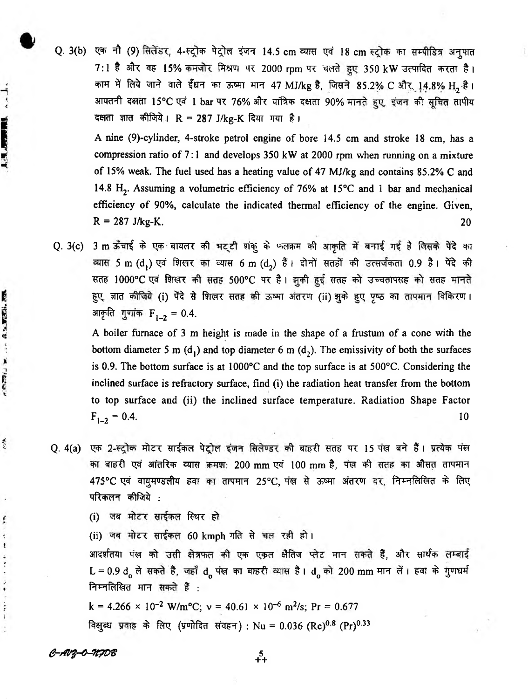Q. 3(b) एक नौ (9) सिलेंडर, 4-स्ट्रोक पेट्रोल इंजन 14.5 cm व्यास एवं 18 cm स्ट्रोक का सम्पीडित्र अनुपात 7:1 है और वह 15% कमजोर मिश्रण पर 2000 rpm पर चलते हुए 350 kW उत्पादित करता है। काम में लिये जाने वाले ईंधन का ऊष्मा मान 47 MJ/kg है, जिसने 85.2% C और 14.8% H<sub>2</sub> है। आयतनी दक्षता 15°C एवं 1 bar पर 76% और यांत्रिक दक्षता 90% मानते हुए, इंजन की सूचित तापीय दक्षता ज्ञात कीजिये।  $R = 287$  J/kg-K दिया गया है।

A nine (9)-cyIinder, 4-stroke petrol engine of bore 14.5 cm and stroke 18 cm, has a compression ratio of 7:1 and develops 350 kW at 2000 rpm when running on a mixture of 15% weak. The fuel used has a heating value of 47 MJ/kg and contains 85.2% C and 14.8 H<sub>2</sub>. Assuming a volumetric efficiency of 76% at 15°C and 1 bar and mechanical efficiency of 90%, calculate the indicated thermal efficiency of the engine. Given,  $R = 287 \text{ J/kg-K}.$  20

Q. 3(c) 3 m ऊँचाई के एक बायलर की भट्टी शंकू के फलक्रम की आकृति में बनाई गई है जिसके पेंदे का aयास 5 m (d,) एवं शिखर का व्यास 6 m (d2) हैं। दोनों सतहों की उत्सर्जकता 0.9 है। पेंदे की सतह 1000°C एवं शिखर की सतह 500°C पर है। झुकी हुई सतह को उच्चतापसह को सतह मानते हुए, ज्ञात कीजिये (i) पेंदे से शिखर सतह की ऊष्मा अंतरण (ii) झुके हुए पृष्ठ का तापमान विकिरण। आकृति गुणांक  $F_{1-2} = 0.4$ .

A boiler furnace of 3 m height is made in the shape of a frustum of a cone with the bottom diameter 5 m  $(d_1)$  and top diameter 6 m  $(d_2)$ . The emissivity of both the surfaces is 0.9. The bottom surface is at 1000°C and the top surface is at 500°C. Considering the inclined surface is refractory surface, find (i) the radiation heat transfer from the bottom to top surface and (ii) the inclined surface temperature. Radiation Shape Factor  $F_{1-2} = 0.4.$  10

Q. 4(a) एक 2-स्ट्रोक मोटर साईकल पेट्रोल इंजन सिलेण्डर की बाहरी सतह पर 15 पंख बने हैं। प्रत्येक पंख का बाहरी एवं आंतरिक व्यास क्रमश: 200 mm एवं 100 mm है, पंख की सतह का औसत तापमान 475°C एवं वायुमण्डलीय हवा का तापमान 25°C, पंख से ऊष्मा अंतरण दर, निम्नलिखित के लिए परिकलन कीजिये :

(i) जब मोटर साईकल स्थिर हो

(ii) जब मोटर साईकत 60 kmph गति से चल रही हो।

आदर्शतया पंख को उसी क्षेत्रफल की एक एकृत क्षैतिज प्लेट मान सकते हैं. और सार्थक लम्बाई L = 0.9 d  $_{0}$  ले सकते है, जहाँ d पंख का बाहरी व्यास है। d को 200 mm मान लें। हवा के गुणधर्म निम्नलिखित मान सकते हैं:

k = 4.266 × 10<sup>-2</sup> W/m<sup>o</sup>C;  $v = 40.61 \times 10^{-6}$  m<sup>2</sup>/s; Pr = 0.677 विक्षुब्ध प्रवाह के लिए (प्रणोदित संवहन) : Nu = 0.036 (Re)<sup>0.8</sup> (Pr)<sup>0.33</sup>

*e -r fq -o -itp v z* 5

**ALABORATOR** 

... At Tell.

W. FIBERS W.

 $\mathcal{L}$ 

ř

ŧ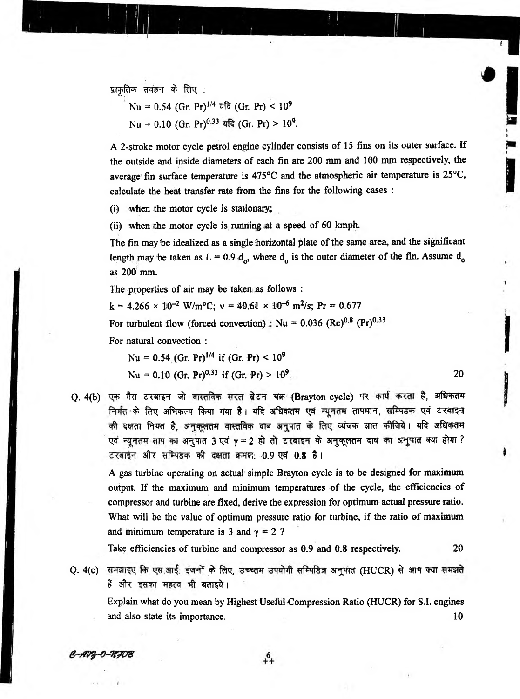प्राकृतिक सवंहन के लिए :

Nu = 0.54 (Gr. Pr)<sup>1/4</sup> यदि (Gr. Pr) < 10<sup>9</sup>

 $Nu = 0.10$  (Gr. Pr)<sup>0.33</sup> यदि (Gr. Pr) > 10<sup>9</sup>.

A 2-stroke motor cycle petrol engine cylinder consists of 15 fins on its outer surface. If the outside and inside diameters of each fin are 200 mm and 100 mm respectively, the average fin surface temperature is 475°C and the atmospheric air temperature is 25°C, calculate the heat transfer rate from the fins for the following cases :

(i) when the motor cycle is stationary;

(ii) when the motor cycle is running at a speed of 60 kmph.

The fin may 'be idealized as a single horizontal plate of the same area, and the significant length may be taken as  $L = 0.9 d_{0}$ , where  $d_{0}$  is the outer diameter of the fin. Assume  $d_{0}$ as 200 mm.

The properties of air may be taken as follows :

 $k = 4.266 \times 10^{-2}$  W/m<sup>o</sup>C;  $v = 40.61 \times 10^{-6}$  m<sup>2</sup>/s; Pr = 0.677

For turbulent flow (forced convection) :  $Nu = 0.036$  (Re)<sup>0.8</sup> (Pr)<sup>0.33</sup>

For natural convection :

Nu = 0.54 (Gr. Pr)<sup>1/4</sup> if (Gr. Pr) <  $10^9$ 

Nu = 0.10 (Gr. Pr)<sup>0.33</sup> if (Gr. Pr) >  $10^9$ . 20

Q. 4(b) एक गैस टरबाइन जो वास्तविक सरल ब्रेटन चक्र (Brayton cycle) पर कार्य करता है, अधिकतम निर्गत के लिए अभिकल्प किया गया है। यदि अधिकतम एवं न्यूनतम तापमान, सम्पिडक एवं टरबाइन की दक्षता नियत है, अनुकूलतम वास्तविक दाब अनुपात के लिए व्यंजक ज्ञात कीजिये। यदि अधिकतम एवं न्यूनतम ताप का अनुपात 3 एवं  $\gamma = 2$  हो तो टरबाइन के अनुकूलतम दाब का अनुपात क्या होगा ? टरबाइन और सम्पिडक की दक्षता क्रमश: 0.9 एवं 0.8 है।

A gas turbine operating on actual simple Brayton cycle is to be designed for maximum output. If the maximum and minimum temperatures of the cycle, the efficiencies of compressor and turbine are fixed, derive the expression for optimum actual pressure ratio. What will be the value of optimum pressure ratio for turbine, if the ratio of maximum and minimum temperature is 3 and  $\gamma = 2$  ?

Take efficiencies of turbine and compressor as 0.9 and 0.8 respectively. 20

Q. 4(c) समझाइए कि एस.आई. इंजनों के लिए, उच्च्तम उपयोगी सम्पिडित्र अनुपात (HUCR) से आप क्या समझते हैं और इसका महत्व भी बताइये।

Explain what do you mean by Highest Useful Compression Ratio (HUCR) for S.I. engines and also state its importance. 10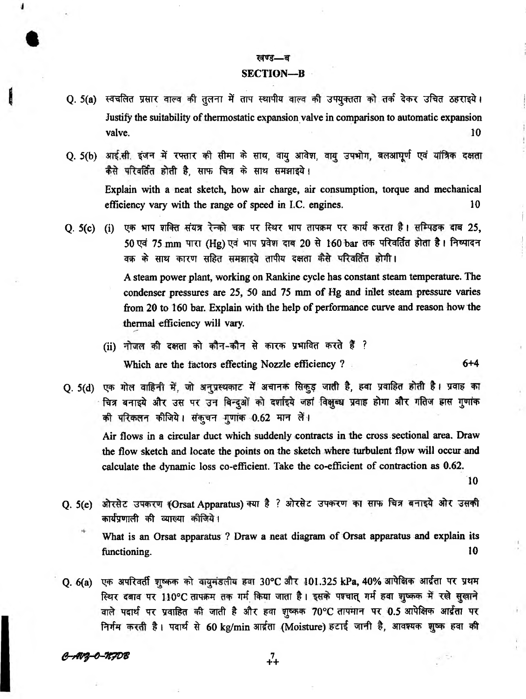### खण्ड—ब

## **SECTION—B**

- Q. 5(a) स्वचलित प्रसार वाल्व की तुलना में ताप स्थापीय वाल्व की उपयुक्तता को तर्क देकर उचित ठहराइये। Justify the suitability of thermostatic expansion valve in comparison to automatic expansion valve.  $10$
- Q. 5(b) आई.सी. इंजन में रफ्तार की सीमा के साथ, वाय आवेश, वाय उपभोग, बलआघुर्ण एवं यांत्रिक दक्षता कैसे परिवर्तित होती है, साफ चित्र के साथ समझाइये। Explain with a neat sketch, how air charge, air consumption, torque and mechanical efficiency vary with the range of speed in I.C. engines. 10
- **Q. 5(c) (i) एक भाप शक्ति संयत्र रेन्को चक्र पर स्थिर भाप तापक्रम पर कार्य करता है। सम्पिडक दाब 25,** 50 एवं 75 mm पारा (Hg) एवं भाप प्रवेश दाब 20 से 160 bar तक परिवर्तित होता है। निष्पादन वक्र के साथ कारण सहित समझाइये तापीय दक्षता कैसे परिवर्तित होगी। A steam power plant, working on Rankine cycle has constant steam temperature. The condenser pressures are 25, 50 and 75 mm of Hg and inlet steam pressure varies from 20 to 160 bar. Explain with the help of performance curve and reason how the thermal efficiency will vary.
	- (ii) नोजल की दक्षता को कौन-कौन से कारक प्रभावित करते हैं ? Which are the factors effecting Nozzle efficiency ? 6+4

O. 5(d) एक गोल वाहिनी में, जो अनुप्रस्थकाट में अचानक सिकुड़ जाती है, हवा प्रवाहित होती है। प्रवाह का चित्र बनाइये और उस पर उन बिन्दुओं को दर्शाइये जहां विक्षुब्ध प्रवाह होगा और गतिज हास गुणांक की परिकलन कीजिये। संकृचन गुणांक 0.62 मान लें।

Air flows in a circular duct which suddenly contracts in the cross sectional area. Draw the flow sketch and locate the points on the sketch where turbulent flow will occur and calculate the dynamic loss co-efficient. Take the co-efficient of contraction as 0.62.

10

- Q. 5(e) ओरसेट उपकरण (Orsat Apparatus) क्या है ? ओरसेट उपकरण का साफ चित्र बनाइये ओर उसकी कार्यप्रणाली की व्याल्या कीजिये।
	- What is an Orsat apparatus ? Draw a neat diagram of Orsat apparatus and explain its functioning. 10
- Q. 6(a) एक अपरिवर्ती शुष्कक को वायुमंडलीय हवा 30°C और 101.325 kPa, 40% आपेक्षिक आर्द्रता पर प्रथम स्थिर दबाव पर 110°C तापक्रम तक गर्म किया जाता है। इसके पश्चात् गर्म हवा शुष्कक में रखे सुखाने वाले पदार्थ पर प्रवाहित की जाती है और हवा शुष्कक 70°C तापमान पर 0.5 आपेक्षिक आर्द्रता पर निर्गम करती है। पदार्थ से 60 kg/min आर्द्रता (Moisture) हटाई जानी है, आवश्यक शुष्क हवा की

*er-\*V\$-4-7!7D %* 7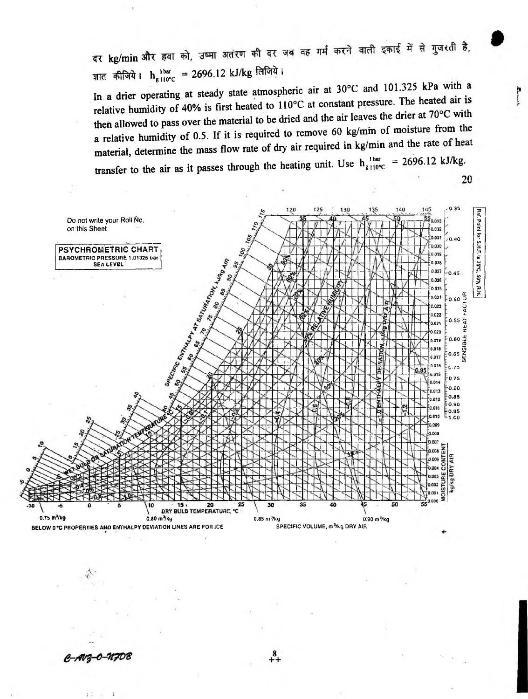दर kg/min और हवा को, उष्मा अतंरण की दर जब वह गर्म करने वाली इकाई में से गुजरती है, ज्ञात कीजिये। h<sub>g llor</sub>c = 2696.12 kJ/kg लिजिये।

In a drier operating at steady state atmospheric air at  $30^{\circ}$ C and  $101.325$  kPa with a relative humidity of 40% is first heated to  $110^{\circ}$ C at constant pressure. The heated air is then allowed to pass over the material to be dried and the air leaves the drier at  $70^{\circ}$ C with a relative humidity of 0.5. If it is required to remove 60 kg/mm of moisture from the material, determine the mass flow rate of dry air required in kg/min and the rate transfer to the air as it passes through the heating unit. Use  $h_{g110^{\circ}C}^{1 \text{ bar}} = 2696.12 \text{ kJ/kg}$ .

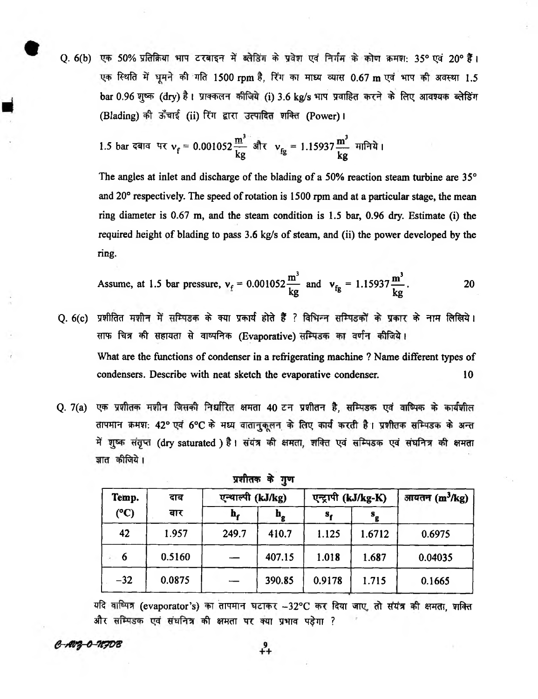Q. 6(b) एक 50% प्रतिक्रिया भाप टरबाइन में ब्लेडिंग के प्रवेश एवं निर्गम के कोण क्रमश: 35° एवं 20° हैं। एक स्थिति में घूमने की गति 1500 rpm है, रिंग का माध्य व्यास 0.67 m एवं भाप की अवस्था 1.5 bar 0.96 शुष्क (dry) है। प्राक्कलन कीजिये (i) 3.6 kg/s भाप प्रवाहित करने के लिए आवश्यक ब्लेडिंग (Blading) की ऊँचाई (ii) रिंग द्वारा उत्पादित शक्ति (Power)।

1.5 bar दबाव पर 
$$
v_f = 0.001052 \frac{m^3}{kg} \text{ sft } v_{fg} = 1.15937 \frac{m^3}{kg} \text{ mftd}
$$

The angles at inlet and discharge of the blading of a 50% reaction steam turbine are 35° and 20° respectively. The speed of rotation is 1500 rpm and at a particular stage, the mean ring diameter is 0.67 m, and the steam condition is 1.5 bar, 0.96 dry. Estimate (i) the required height of blading to pass 3.6 kg/s of steam, and (ii) the power developed by the ring.

Assume, at 1.5 bar pressure, 
$$
v_f = 0.001052 \frac{m^3}{kg}
$$
 and  $v_{fg} = 1.15937 \frac{m^3}{kg}$ .

- O. 6(c) प्रशीतित मशीन में सम्पिडक के क्या प्रकार्य होते हैं ? विभिन्न सम्पिडकों के प्रकार के नाम लिखिये। साफ चित्र की सहायता से वाष्पनिक (Evaporative) सम्पिडक का वर्णन कीजिये। What are the functions of condenser in a refrigerating machine ? Name different types of condensers. Describe with neat sketch the evaporative condenser. 10
- Q. 7(a) एक प्रशीतक मशीन जिसकी निर्धारित क्षमता 40 टन प्रशीतन है, सम्पिडक एवं वाष्पिक के कार्यशील तापमान क्रमश: 42° एवं 6°C के मध्य वातानुकुलन के लिए कार्य करती है। प्रशीतक सम्पिडक के अन्त में शुष्क संतुप्त (dry saturated ) है। संयंत्र की क्षमता, शक्ति एवं सम्पिडक एवं संघनित्र की क्षमता ज्ञात कीजिये।

| Temp.         | दाब<br>बार | एन्थाल्पी (kJ/kg) |             | एन्ट्रापी (kJ/kg-K) |                           | आयतन $(m^3/kg)$ |
|---------------|------------|-------------------|-------------|---------------------|---------------------------|-----------------|
| $(^{\circ}C)$ |            | h,                | $n_{\rm g}$ | s,                  | $\mathbf{s}_{\mathbf{g}}$ |                 |
| 42            | 1.957      | 249.7             | 410.7       | 1.125               | 1.6712                    | 0.6975          |
| 6             | 0.5160     |                   | 407.15      | 1.018               | 1.687                     | 0.04035         |
| $-32$         | 0.0875     |                   | 390.85      | 0.9178              | 1.715                     | 0.1665          |

प्रशीतक के गुण

यदि वाष्पित्र (evaporator's) का तापमान घटाकर -32°C कर दिया जाए. तो संयंत्र की क्षमता, शक्ति और सम्पिडक एवं संघनित्र की क्षमता पर क्या प्रभाव पडेगा ?

# C-AV2-0-NFDB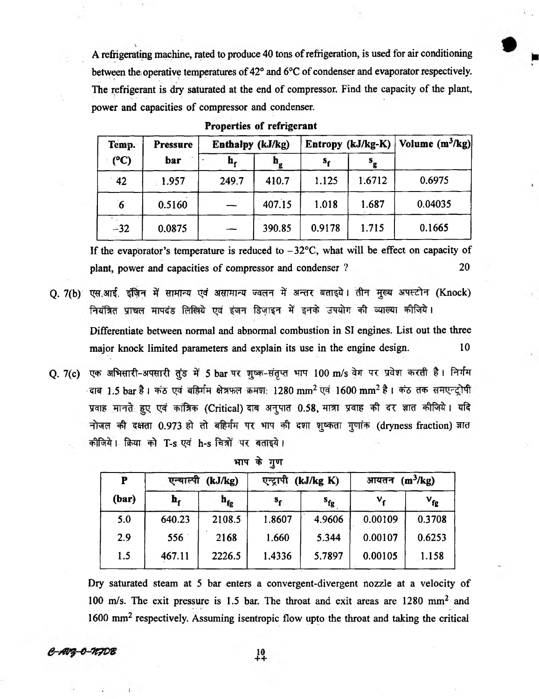A refrigerating machine, rated to produce 40 tons of refrigeration, is used for air conditioning between the; operative temperatures of 42° and 6°C of condenser and evaporator respectively. The refrigerant is dry saturated at the end of compressor. Find the capacity of the plant, power and capacities of compressor and condenser.

| Temp.          | <b>Pressure</b><br>bar | Enthalpy (kJ/kg) |             | Entropy (kJ/kg-K) $ $ Volume (m <sup>3</sup> /kg) |                           |         |
|----------------|------------------------|------------------|-------------|---------------------------------------------------|---------------------------|---------|
| (°C)           |                        | h,               | $n_{\rm g}$ | s,                                                | $\mathbf{s}_{\mathbf{g}}$ |         |
| 42             | 1.957                  | 249.7            | 410.7       | 1.125                                             | 1.6712                    | 0.6975  |
| $\overline{6}$ | 0.5160                 |                  | 407.15      | 1.018                                             | 1.687                     | 0.04035 |
| $-32$          | 0.0875                 |                  | 390.85      | 0.9178                                            | 1.715                     | 0.1665  |

**Properties of refrigerant**

If the evaporator's temperature is reduced to  $-32^{\circ}\text{C}$ , what will be effect on capacity of plant, power and capacities of compressor and condenser ? 20

- Q. 7(b) एस.आई. इंज़िन में सामान्य एवं असामान्य ज्वलन में अन्तर बताइये। तीन मुख्य अपस्टोन (Knock) नियंत्रित प्राचल मापदंड लिखिये एवं इंजन डिजाइन में इनके उपयोग की व्याख्या कीजिये। Differentiate between normal and abnormal combustion in SI engines. List out the three major knock limited parameters and explain its use in the engine design. 10
- Q. 7(c) एक अभिसारी-अपसारी तुंड में 5 bar पर शुष्क-संतृप्त भाप 100 m/s वेग पर प्रवेश करती है। निर्गम वाब 1.5 bar है। कंठ एवं बहिर्गम क्षेत्रफल कमश: 1280 mm<sup>2</sup> एवं 1600 mm<sup>2</sup> है। कंठ तक समएन्ट्रोपी प्रवाह मानते हुए एवं कांत्रिक (Critical) दाब अनुपात 0.58, मात्रा प्रवाह की दर ज्ञात कीजिये। यदि नोजल की दक्षता 0.973 हो तो बहिर्गम पर भाप की दशा शुष्कता गुणांक (dryness fraction) ज्ञात कीजिये। क्रिया को T-s एवं h-s चित्रों पर बताइये।

| P     | एन्थाल्पी<br>(kJ/kg) |          | एन्ट्रापी<br>(kJ/kg K) |          | आयतन $(m^3/kg)$ |                 |
|-------|----------------------|----------|------------------------|----------|-----------------|-----------------|
| (bar) | h,                   | $h_{fg}$ | $s_{\mathbf{f}}$       | $s_{fg}$ | ν.              | $v_{\text{fg}}$ |
| 5.0   | 640.23               | 2108.5   | 1.8607                 | 4.9606   | 0.00109         | 0.3708          |
| 2.9   | 556                  | 2168     | 1.660                  | 5.344    | 0.00107         | 0.6253          |
| 1.5   | 467.11               | 2226.5   | 1.4336                 | 5.7897   | 0.00105         | 1.158           |

भाप के गुण

Dry saturated steam at 5 bar enters a convergent-divergent nozzle at a velocity of 100 m/s. The exit pressure is 1.5 bar. The throat and exit areas are 1280 mm2 and 1600 mm2 respectively. Assuming isentropic flow upto the throat and taking the critical

 $^{10}_{+1}$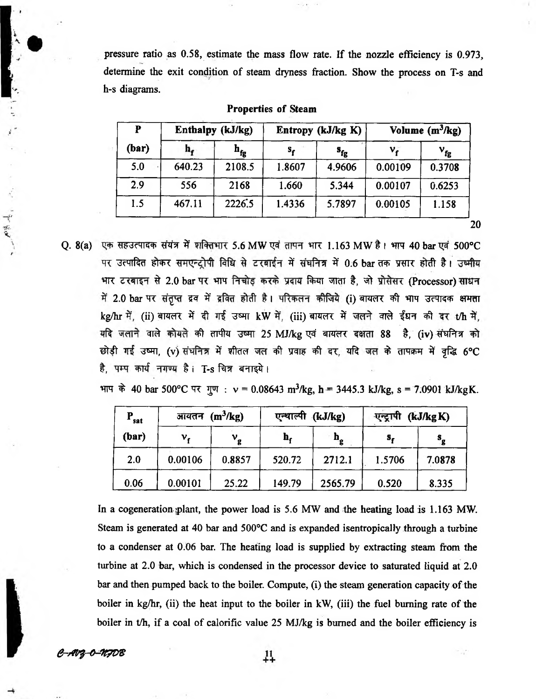pressure ratio as 0.58, estimate the mass flow rate. If the nozzle efficiency is 0.973, determine the exit condition of steam dryness fraction. Show the process on T-s and h-s diagrams.

| P<br>(bar) | Enthalpy (kJ/kg) |                    |             | Entropy (kJ/kg K) | Volume $(m^3/kg)$ |          |
|------------|------------------|--------------------|-------------|-------------------|-------------------|----------|
|            | n,               | ${\bf h}_{\bf fg}$ | $s_{\rm r}$ | $s_{fg}$          | ν.                | $v_{fg}$ |
| 5.0        | 640.23           | 2108.5             | 1.8607      | 4.9606            | 0.00109           | 0.3708   |
| 2.9        | 556              | 2168               | 1.660       | 5.344             | 0.00107           | 0.6253   |
| 1.5        | 467.11           | 2226.5             | 1.4336      | 5.7897            | 0.00105           | 1.158    |

| Properties of Steam |  |
|---------------------|--|
|---------------------|--|

Q. 8(a) एक सहउत्पादक संयंत्र में शक्तिभार 5.6 MW एवं तापन भार 1.163 MW है। भाप 40 bar एवं 500°C पर उत्पादित होकर समएन्ट्रोपी विधि से टरबाईन में संघनित्र में 0.6 bar तक प्रसार होती है। उष्मीय भार टरबाइन से 2.0 bar पर भाप निचोड़ करके प्रदाय किया जाता है, जो प्रोसेसर (Processor) साधन में 2.0 bar पर संतृप्त द्रव में द्रवित होती है। परिकलन कीजिये (i) बायलर की भाप उत्पादक क्षमता kg/hr में, (ii) बायलर में दी गई उष्मा kW में, (iii) बायलर में जलने वाले ईंधन की दर t/h में, यदि जलाने वाले कोयले की तापीय उष्मा 25 MJ/kg एवं बायलर दक्षता 88 है, (iv) संघनित्र को छोड़ी गई उष्मा, (v) संधनित्र में शीतल जल की प्रवाह की दर, यदि जल के तापक्रम में वृद्धि 6°C है, पम्प कार्य नगण्य है। T-s चित्र बनाइये।

भाप के 40 bar 500°C पर गुण :  $v = 0.08643$  m<sup>3</sup>/kg, h = 3445.3 kJ/kg, s = 7.0901 kJ/kgK.

| $P_{sat}$<br>(bar) | $(m^3/kg)$<br><u>जांयंतन</u> |             | (kJ/kg)<br>एन्थाल्पी |                           | (kJ/kg K)<br>एन्ट्रापी |                           |
|--------------------|------------------------------|-------------|----------------------|---------------------------|------------------------|---------------------------|
|                    | ν.                           | $v_{\rm g}$ | h,                   | $\mathbf{h}_{\mathbf{g}}$ | s,                     | $\mathbf{s}_{\mathbf{g}}$ |
| 2.0                | 0.00106                      | 0.8857      | 520.72               | 2712.1                    | 1.5706                 | 7.0878                    |
| 0.06               | 0.00101                      | 25.22       | 149.79               | 2565.79                   | 0.520                  | 8.335                     |

In a cogeneration plant, the power load is  $5.6$  MW and the heating load is  $1.163$  MW. Steam is generated at 40 bar and 500°C and is expanded isentropically through a turbine to a condenser at 0.06 bar. The heating load is supplied by extracting steam from the turbine at 2.0 bar, which is condensed in the processor device to saturated liquid at 2.0 bar and then pumped back to the boiler. Compute, (i) the steam generation capacity of the boiler in kg/hr, (ii) the heat input to the boiler in kW, (iii) the fuel burning rate of the boiler in t/h, if a coal of calorific value 25 MJ/kg is burned and the boiler efficiency is

× 7

*e-/nr\$-4-7r?vG*

人がん

 $^{11}_{+1}$